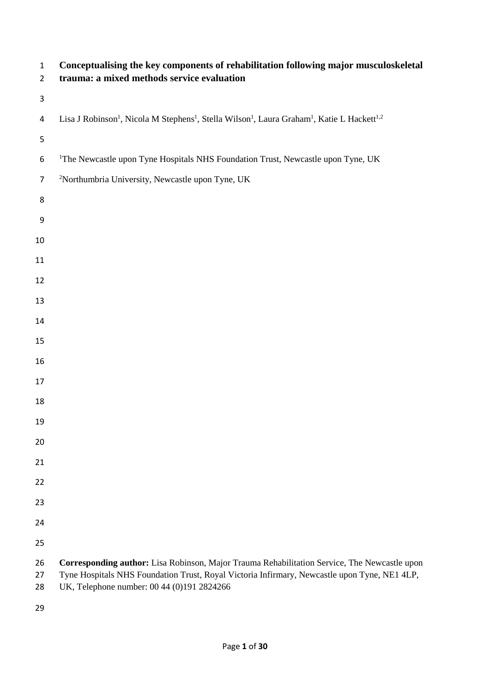| $\mathbf 1$<br>$\overline{2}$ | Conceptualising the key components of rehabilitation following major musculoskeletal<br>trauma: a mixed methods service evaluation                                                                                                         |
|-------------------------------|--------------------------------------------------------------------------------------------------------------------------------------------------------------------------------------------------------------------------------------------|
| $\mathsf 3$                   |                                                                                                                                                                                                                                            |
| 4                             | Lisa J Robinson <sup>1</sup> , Nicola M Stephens <sup>1</sup> , Stella Wilson <sup>1</sup> , Laura Graham <sup>1</sup> , Katie L Hackett <sup>1,2</sup>                                                                                    |
| 5                             |                                                                                                                                                                                                                                            |
| 6                             | <sup>1</sup> The Newcastle upon Tyne Hospitals NHS Foundation Trust, Newcastle upon Tyne, UK                                                                                                                                               |
| $\overline{7}$                | <sup>2</sup> Northumbria University, Newcastle upon Tyne, UK                                                                                                                                                                               |
| 8                             |                                                                                                                                                                                                                                            |
| 9                             |                                                                                                                                                                                                                                            |
| 10                            |                                                                                                                                                                                                                                            |
| 11                            |                                                                                                                                                                                                                                            |
| 12                            |                                                                                                                                                                                                                                            |
| 13                            |                                                                                                                                                                                                                                            |
| 14                            |                                                                                                                                                                                                                                            |
| 15                            |                                                                                                                                                                                                                                            |
| 16                            |                                                                                                                                                                                                                                            |
| 17                            |                                                                                                                                                                                                                                            |
| 18                            |                                                                                                                                                                                                                                            |
| 19                            |                                                                                                                                                                                                                                            |
| 20                            |                                                                                                                                                                                                                                            |
| 21                            |                                                                                                                                                                                                                                            |
| 22                            |                                                                                                                                                                                                                                            |
| 23                            |                                                                                                                                                                                                                                            |
| 24                            |                                                                                                                                                                                                                                            |
| 25                            |                                                                                                                                                                                                                                            |
| 26<br>27<br>28                | Corresponding author: Lisa Robinson, Major Trauma Rehabilitation Service, The Newcastle upon<br>Tyne Hospitals NHS Foundation Trust, Royal Victoria Infirmary, Newcastle upon Tyne, NE1 4LP,<br>UK, Telephone number: 00 44 (0)191 2824266 |
|                               |                                                                                                                                                                                                                                            |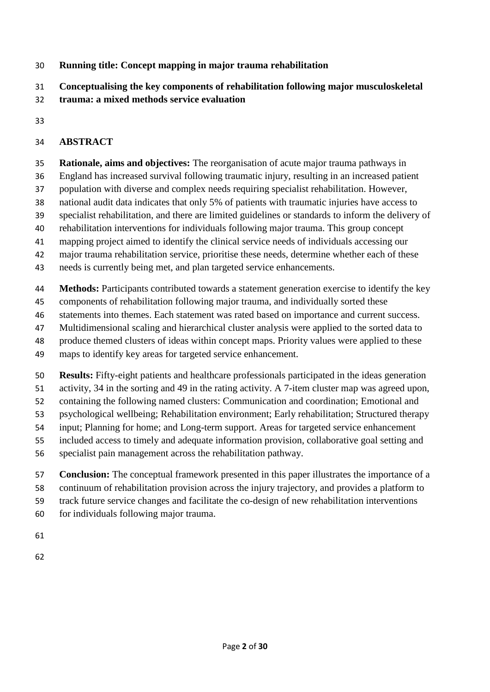# **Running title: Concept mapping in major trauma rehabilitation**

**Conceptualising the key components of rehabilitation following major musculoskeletal** 

- **trauma: a mixed methods service evaluation**
- 

# **ABSTRACT**

**Rationale, aims and objectives:** The reorganisation of acute major trauma pathways in

- England has increased survival following traumatic injury, resulting in an increased patient
- population with diverse and complex needs requiring specialist rehabilitation. However,
- national audit data indicates that only 5% of patients with traumatic injuries have access to
- specialist rehabilitation, and there are limited guidelines or standards to inform the delivery of
- rehabilitation interventions for individuals following major trauma. This group concept
- mapping project aimed to identify the clinical service needs of individuals accessing our
- major trauma rehabilitation service, prioritise these needs, determine whether each of these
- needs is currently being met, and plan targeted service enhancements.
- **Methods:** Participants contributed towards a statement generation exercise to identify the key
- components of rehabilitation following major trauma, and individually sorted these
- statements into themes. Each statement was rated based on importance and current success.
- Multidimensional scaling and hierarchical cluster analysis were applied to the sorted data to
- produce themed clusters of ideas within concept maps. Priority values were applied to these
- maps to identify key areas for targeted service enhancement.
- **Results:** Fifty-eight patients and healthcare professionals participated in the ideas generation
- activity, 34 in the sorting and 49 in the rating activity. A 7-item cluster map was agreed upon,
- containing the following named clusters: Communication and coordination; Emotional and
- psychological wellbeing; Rehabilitation environment; Early rehabilitation; Structured therapy
- input; Planning for home; and Long-term support. Areas for targeted service enhancement
- included access to timely and adequate information provision, collaborative goal setting and
- specialist pain management across the rehabilitation pathway.
- **Conclusion:** The conceptual framework presented in this paper illustrates the importance of a
- continuum of rehabilitation provision across the injury trajectory, and provides a platform to
- track future service changes and facilitate the co-design of new rehabilitation interventions
- for individuals following major trauma.
- 
-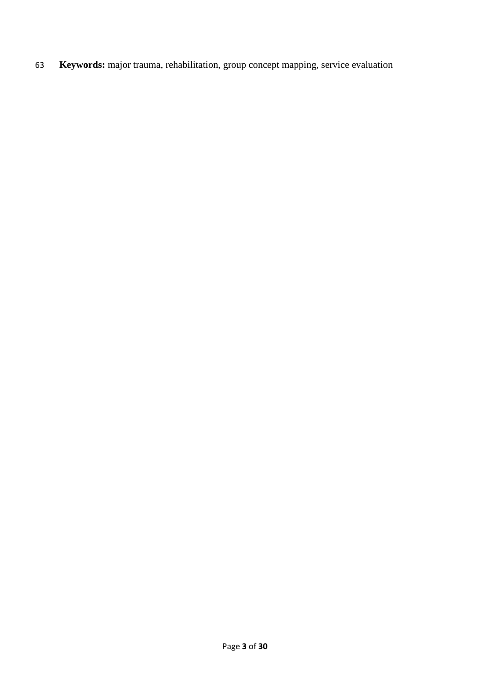63 **Keywords:** major trauma, rehabilitation, group concept mapping, service evaluation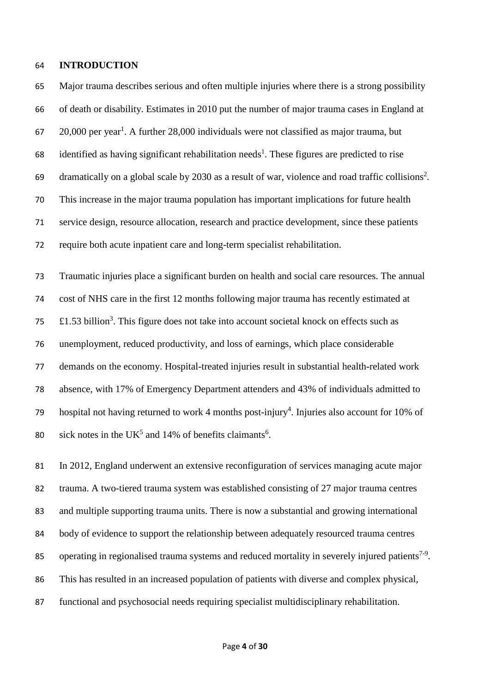### **INTRODUCTION**

 Major trauma describes serious and often multiple injuries where there is a strong possibility of death or disability. Estimates in 2010 put the number of major trauma cases in England at  $20,000$  per year<sup>1</sup>. A further 28,000 individuals were not classified as major trauma, but 68 identified as having significant rehabilitation needs<sup>1</sup>. These figures are predicted to rise 69 dramatically on a global scale by 2030 as a result of war, violence and road traffic collisions<sup>2</sup>. This increase in the major trauma population has important implications for future health service design, resource allocation, research and practice development, since these patients require both acute inpatient care and long-term specialist rehabilitation.

 Traumatic injuries place a significant burden on health and social care resources. The annual cost of NHS care in the first 12 months following major trauma has recently estimated at  $\text{F1.53 billion}^3$ . This figure does not take into account societal knock on effects such as unemployment, reduced productivity, and loss of earnings, which place considerable demands on the economy. Hospital-treated injuries result in substantial health-related work absence, with 17% of Emergency Department attenders and 43% of individuals admitted to 79 hospital not having returned to work 4 months post-injury<sup>4</sup>. Injuries also account for 10% of sick notes in the UK<sup>5</sup> and 14% of benefits claimants<sup>6</sup>.

 In 2012, England underwent an extensive reconfiguration of services managing acute major trauma. A two-tiered trauma system was established consisting of 27 major trauma centres and multiple supporting trauma units. There is now a substantial and growing international body of evidence to support the relationship between adequately resourced trauma centres 85 operating in regionalised trauma systems and reduced mortality in severely injured patients<sup>7-9</sup>. This has resulted in an increased population of patients with diverse and complex physical, functional and psychosocial needs requiring specialist multidisciplinary rehabilitation.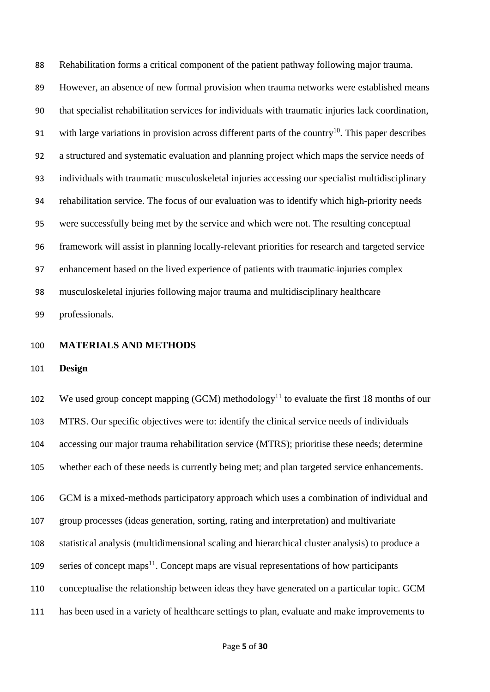Rehabilitation forms a critical component of the patient pathway following major trauma. However, an absence of new formal provision when trauma networks were established means that specialist rehabilitation services for individuals with traumatic injuries lack coordination, 91 with large variations in provision across different parts of the country<sup>10</sup>. This paper describes a structured and systematic evaluation and planning project which maps the service needs of individuals with traumatic musculoskeletal injuries accessing our specialist multidisciplinary rehabilitation service. The focus of our evaluation was to identify which high-priority needs were successfully being met by the service and which were not. The resulting conceptual framework will assist in planning locally-relevant priorities for research and targeted service 97 enhancement based on the lived experience of patients with traumatic injuries complex musculoskeletal injuries following major trauma and multidisciplinary healthcare professionals.

- **MATERIALS AND METHODS**
- **Design**

102 We used group concept mapping (GCM) methodology<sup>11</sup> to evaluate the first 18 months of our MTRS. Our specific objectives were to: identify the clinical service needs of individuals accessing our major trauma rehabilitation service (MTRS); prioritise these needs; determine whether each of these needs is currently being met; and plan targeted service enhancements. GCM is a mixed-methods participatory approach which uses a combination of individual and group processes (ideas generation, sorting, rating and interpretation) and multivariate statistical analysis (multidimensional scaling and hierarchical cluster analysis) to produce a series of concept maps<sup>11</sup>. Concept maps are visual representations of how participants conceptualise the relationship between ideas they have generated on a particular topic. GCM has been used in a variety of healthcare settings to plan, evaluate and make improvements to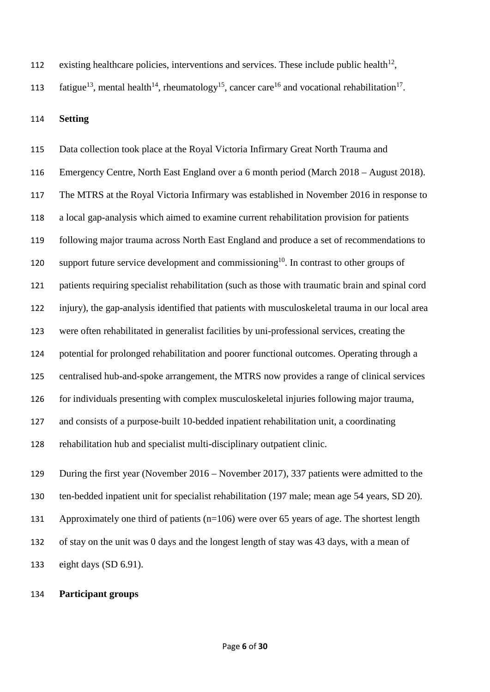112 existing healthcare policies, interventions and services. These include public health<sup>12</sup>,

113 fatigue<sup>13</sup>, mental health<sup>14</sup>, rheumatology<sup>15</sup>, cancer care<sup>16</sup> and vocational rehabilitation<sup>17</sup>.

**Setting**

 Data collection took place at the Royal Victoria Infirmary Great North Trauma and Emergency Centre, North East England over a 6 month period (March 2018 – August 2018). The MTRS at the Royal Victoria Infirmary was established in November 2016 in response to a local gap-analysis which aimed to examine current rehabilitation provision for patients following major trauma across North East England and produce a set of recommendations to 120 support future service development and commissioning<sup>10</sup>. In contrast to other groups of patients requiring specialist rehabilitation (such as those with traumatic brain and spinal cord injury), the gap-analysis identified that patients with musculoskeletal trauma in our local area were often rehabilitated in generalist facilities by uni-professional services, creating the potential for prolonged rehabilitation and poorer functional outcomes. Operating through a centralised hub-and-spoke arrangement, the MTRS now provides a range of clinical services for individuals presenting with complex musculoskeletal injuries following major trauma, and consists of a purpose-built 10-bedded inpatient rehabilitation unit, a coordinating rehabilitation hub and specialist multi-disciplinary outpatient clinic. During the first year (November 2016 – November 2017), 337 patients were admitted to the

 ten-bedded inpatient unit for specialist rehabilitation (197 male; mean age 54 years, SD 20). Approximately one third of patients (n=106) were over 65 years of age. The shortest length of stay on the unit was 0 days and the longest length of stay was 43 days, with a mean of eight days (SD 6.91).

# **Participant groups**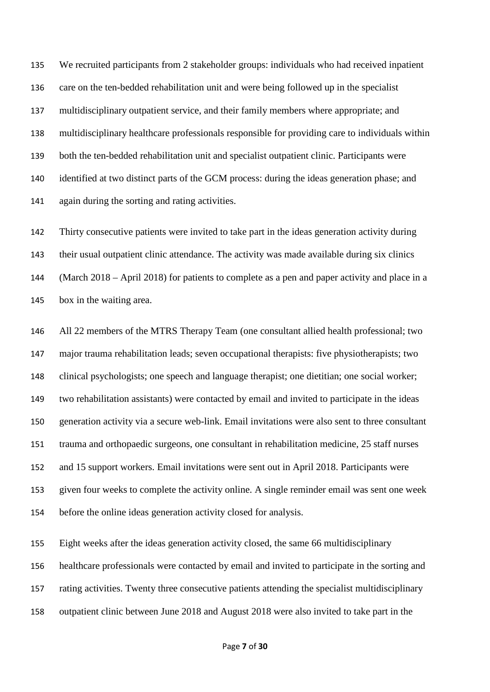We recruited participants from 2 stakeholder groups: individuals who had received inpatient care on the ten-bedded rehabilitation unit and were being followed up in the specialist multidisciplinary outpatient service, and their family members where appropriate; and multidisciplinary healthcare professionals responsible for providing care to individuals within both the ten-bedded rehabilitation unit and specialist outpatient clinic. Participants were identified at two distinct parts of the GCM process: during the ideas generation phase; and again during the sorting and rating activities.

 Thirty consecutive patients were invited to take part in the ideas generation activity during their usual outpatient clinic attendance. The activity was made available during six clinics (March 2018 – April 2018) for patients to complete as a pen and paper activity and place in a box in the waiting area.

 All 22 members of the MTRS Therapy Team (one consultant allied health professional; two major trauma rehabilitation leads; seven occupational therapists: five physiotherapists; two clinical psychologists; one speech and language therapist; one dietitian; one social worker; two rehabilitation assistants) were contacted by email and invited to participate in the ideas generation activity via a secure web-link. Email invitations were also sent to three consultant trauma and orthopaedic surgeons, one consultant in rehabilitation medicine, 25 staff nurses and 15 support workers. Email invitations were sent out in April 2018. Participants were given four weeks to complete the activity online. A single reminder email was sent one week before the online ideas generation activity closed for analysis.

 Eight weeks after the ideas generation activity closed, the same 66 multidisciplinary healthcare professionals were contacted by email and invited to participate in the sorting and rating activities. Twenty three consecutive patients attending the specialist multidisciplinary outpatient clinic between June 2018 and August 2018 were also invited to take part in the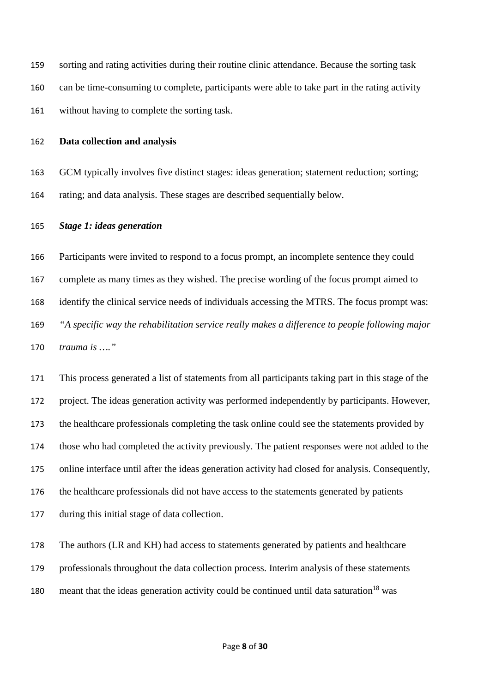sorting and rating activities during their routine clinic attendance. Because the sorting task can be time-consuming to complete, participants were able to take part in the rating activity without having to complete the sorting task.

### **Data collection and analysis**

 GCM typically involves five distinct stages: ideas generation; statement reduction; sorting; rating; and data analysis. These stages are described sequentially below.

### *Stage 1: ideas generation*

 Participants were invited to respond to a focus prompt, an incomplete sentence they could complete as many times as they wished. The precise wording of the focus prompt aimed to identify the clinical service needs of individuals accessing the MTRS. The focus prompt was: *"A specific way the rehabilitation service really makes a difference to people following major trauma is …."*

 This process generated a list of statements from all participants taking part in this stage of the project. The ideas generation activity was performed independently by participants. However, the healthcare professionals completing the task online could see the statements provided by those who had completed the activity previously. The patient responses were not added to the online interface until after the ideas generation activity had closed for analysis. Consequently, the healthcare professionals did not have access to the statements generated by patients during this initial stage of data collection.

 The authors (LR and KH) had access to statements generated by patients and healthcare professionals throughout the data collection process. Interim analysis of these statements 180 meant that the ideas generation activity could be continued until data saturation<sup>18</sup> was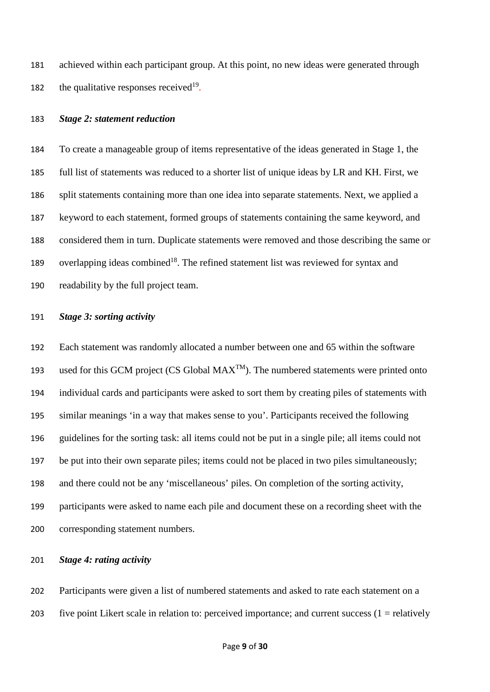achieved within each participant group. At this point, no new ideas were generated through 182 the qualitative responses received.

### *Stage 2: statement reduction*

 To create a manageable group of items representative of the ideas generated in Stage 1, the full list of statements was reduced to a shorter list of unique ideas by LR and KH. First, we split statements containing more than one idea into separate statements. Next, we applied a keyword to each statement, formed groups of statements containing the same keyword, and considered them in turn. Duplicate statements were removed and those describing the same or 189 overlapping ideas combined<sup>18</sup>. The refined statement list was reviewed for syntax and readability by the full project team.

### *Stage 3: sorting activity*

 Each statement was randomly allocated a number between one and 65 within the software 193 used for this GCM project (CS Global  $MAX^{TM}$ ). The numbered statements were printed onto individual cards and participants were asked to sort them by creating piles of statements with similar meanings 'in a way that makes sense to you'. Participants received the following guidelines for the sorting task: all items could not be put in a single pile; all items could not be put into their own separate piles; items could not be placed in two piles simultaneously; and there could not be any 'miscellaneous' piles. On completion of the sorting activity, participants were asked to name each pile and document these on a recording sheet with the corresponding statement numbers.

### *Stage 4: rating activity*

 Participants were given a list of numbered statements and asked to rate each statement on a 203 five point Likert scale in relation to: perceived importance; and current success  $(1 =$  relatively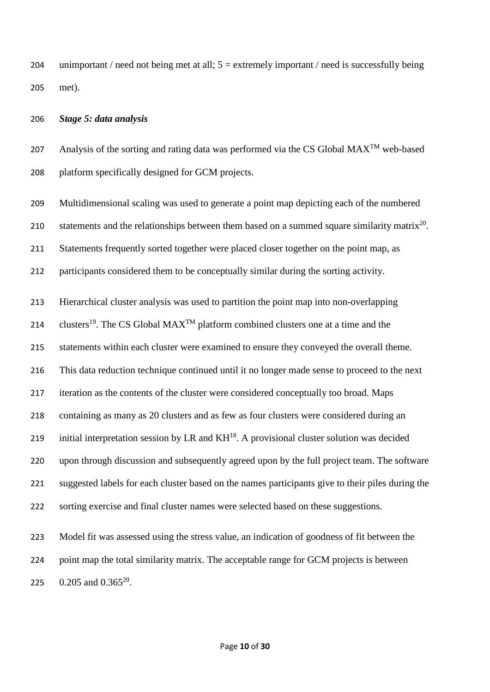204 unimportant / need not being met at all;  $5 =$  extremely important / need is successfully being met).

### *Stage 5: data analysis*

207 Analysis of the sorting and rating data was performed via the CS Global  $MAX^{TM}$  web-based platform specifically designed for GCM projects.

Multidimensional scaling was used to generate a point map depicting each of the numbered

210 statements and the relationships between them based on a summed square similarity matrix<sup>20</sup>.

211 Statements frequently sorted together were placed closer together on the point map, as

participants considered them to be conceptually similar during the sorting activity.

Hierarchical cluster analysis was used to partition the point map into non-overlapping

214 clusters<sup>19</sup>. The CS Global MAX<sup>TM</sup> platform combined clusters one at a time and the

statements within each cluster were examined to ensure they conveyed the overall theme.

This data reduction technique continued until it no longer made sense to proceed to the next

iteration as the contents of the cluster were considered conceptually too broad. Maps

containing as many as 20 clusters and as few as four clusters were considered during an

219 initial interpretation session by LR and  $KH^{18}$ . A provisional cluster solution was decided

upon through discussion and subsequently agreed upon by the full project team. The software

suggested labels for each cluster based on the names participants give to their piles during the

sorting exercise and final cluster names were selected based on these suggestions.

 Model fit was assessed using the stress value, an indication of goodness of fit between the point map the total similarity matrix. The acceptable range for GCM projects is between 225  $0.205$  and  $0.365^{20}$ .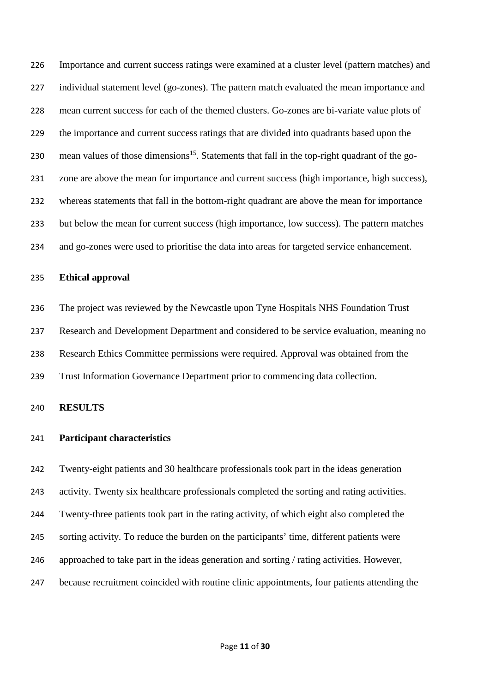Importance and current success ratings were examined at a cluster level (pattern matches) and individual statement level (go-zones). The pattern match evaluated the mean importance and mean current success for each of the themed clusters. Go-zones are bi-variate value plots of the importance and current success ratings that are divided into quadrants based upon the 230 mean values of those dimensions<sup>15</sup>. Statements that fall in the top-right quadrant of the go- zone are above the mean for importance and current success (high importance, high success), whereas statements that fall in the bottom-right quadrant are above the mean for importance but below the mean for current success (high importance, low success). The pattern matches and go-zones were used to prioritise the data into areas for targeted service enhancement.

### **Ethical approval**

 The project was reviewed by the Newcastle upon Tyne Hospitals NHS Foundation Trust Research and Development Department and considered to be service evaluation, meaning no Research Ethics Committee permissions were required. Approval was obtained from the Trust Information Governance Department prior to commencing data collection.

**RESULTS**

### **Participant characteristics**

 Twenty-eight patients and 30 healthcare professionals took part in the ideas generation activity. Twenty six healthcare professionals completed the sorting and rating activities. Twenty-three patients took part in the rating activity, of which eight also completed the sorting activity. To reduce the burden on the participants' time, different patients were approached to take part in the ideas generation and sorting / rating activities. However, because recruitment coincided with routine clinic appointments, four patients attending the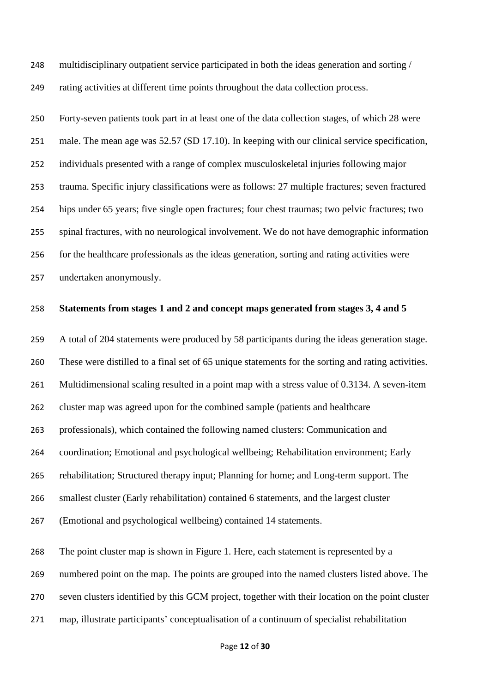multidisciplinary outpatient service participated in both the ideas generation and sorting / rating activities at different time points throughout the data collection process.

 Forty-seven patients took part in at least one of the data collection stages, of which 28 were male. The mean age was 52.57 (SD 17.10). In keeping with our clinical service specification, individuals presented with a range of complex musculoskeletal injuries following major trauma. Specific injury classifications were as follows: 27 multiple fractures; seven fractured hips under 65 years; five single open fractures; four chest traumas; two pelvic fractures; two spinal fractures, with no neurological involvement. We do not have demographic information for the healthcare professionals as the ideas generation, sorting and rating activities were undertaken anonymously.

### **Statements from stages 1 and 2 and concept maps generated from stages 3, 4 and 5**

 A total of 204 statements were produced by 58 participants during the ideas generation stage. These were distilled to a final set of 65 unique statements for the sorting and rating activities. Multidimensional scaling resulted in a point map with a stress value of 0.3134. A seven-item cluster map was agreed upon for the combined sample (patients and healthcare professionals), which contained the following named clusters: Communication and coordination; Emotional and psychological wellbeing; Rehabilitation environment; Early rehabilitation; Structured therapy input; Planning for home; and Long-term support. The smallest cluster (Early rehabilitation) contained 6 statements, and the largest cluster (Emotional and psychological wellbeing) contained 14 statements. The point cluster map is shown in Figure 1. Here, each statement is represented by a numbered point on the map. The points are grouped into the named clusters listed above. The seven clusters identified by this GCM project, together with their location on the point cluster map, illustrate participants' conceptualisation of a continuum of specialist rehabilitation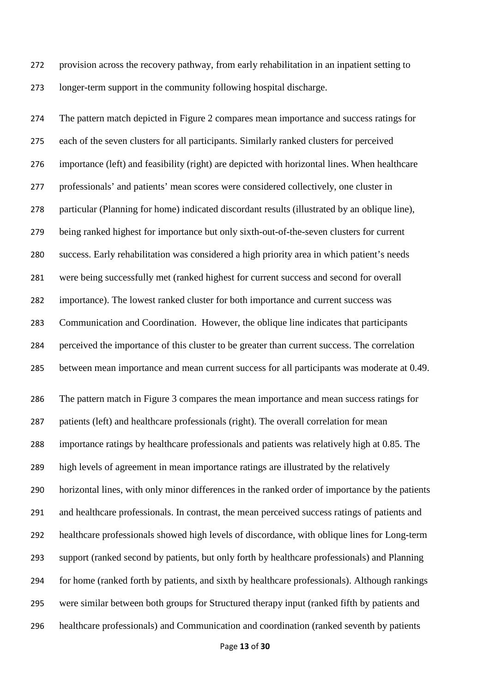provision across the recovery pathway, from early rehabilitation in an inpatient setting to longer-term support in the community following hospital discharge.

 The pattern match depicted in Figure 2 compares mean importance and success ratings for each of the seven clusters for all participants. Similarly ranked clusters for perceived importance (left) and feasibility (right) are depicted with horizontal lines. When healthcare professionals' and patients' mean scores were considered collectively, one cluster in particular (Planning for home) indicated discordant results (illustrated by an oblique line), being ranked highest for importance but only sixth-out-of-the-seven clusters for current success. Early rehabilitation was considered a high priority area in which patient's needs were being successfully met (ranked highest for current success and second for overall importance). The lowest ranked cluster for both importance and current success was Communication and Coordination. However, the oblique line indicates that participants perceived the importance of this cluster to be greater than current success. The correlation between mean importance and mean current success for all participants was moderate at 0.49. The pattern match in Figure 3 compares the mean importance and mean success ratings for patients (left) and healthcare professionals (right). The overall correlation for mean importance ratings by healthcare professionals and patients was relatively high at 0.85. The high levels of agreement in mean importance ratings are illustrated by the relatively horizontal lines, with only minor differences in the ranked order of importance by the patients and healthcare professionals. In contrast, the mean perceived success ratings of patients and healthcare professionals showed high levels of discordance, with oblique lines for Long-term support (ranked second by patients, but only forth by healthcare professionals) and Planning for home (ranked forth by patients, and sixth by healthcare professionals). Although rankings were similar between both groups for Structured therapy input (ranked fifth by patients and healthcare professionals) and Communication and coordination (ranked seventh by patients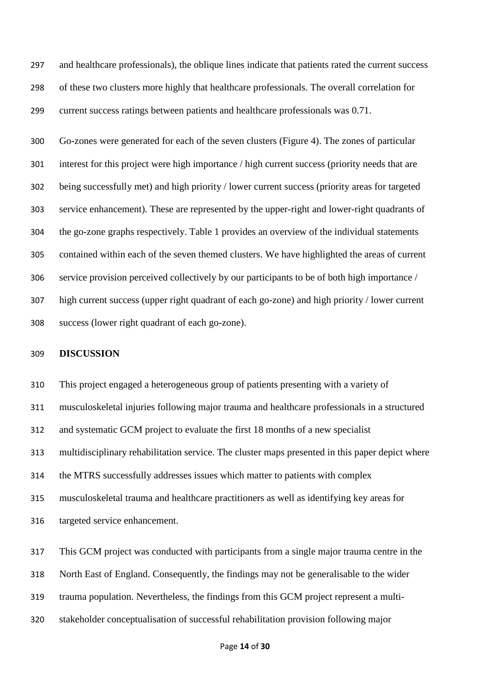and healthcare professionals), the oblique lines indicate that patients rated the current success of these two clusters more highly that healthcare professionals. The overall correlation for current success ratings between patients and healthcare professionals was 0.71.

 Go-zones were generated for each of the seven clusters (Figure 4). The zones of particular interest for this project were high importance / high current success (priority needs that are being successfully met) and high priority / lower current success (priority areas for targeted service enhancement). These are represented by the upper-right and lower-right quadrants of the go-zone graphs respectively. Table 1 provides an overview of the individual statements contained within each of the seven themed clusters. We have highlighted the areas of current service provision perceived collectively by our participants to be of both high importance / high current success (upper right quadrant of each go-zone) and high priority / lower current success (lower right quadrant of each go-zone).

### **DISCUSSION**

 This project engaged a heterogeneous group of patients presenting with a variety of musculoskeletal injuries following major trauma and healthcare professionals in a structured and systematic GCM project to evaluate the first 18 months of a new specialist multidisciplinary rehabilitation service. The cluster maps presented in this paper depict where the MTRS successfully addresses issues which matter to patients with complex musculoskeletal trauma and healthcare practitioners as well as identifying key areas for targeted service enhancement.

 This GCM project was conducted with participants from a single major trauma centre in the North East of England. Consequently, the findings may not be generalisable to the wider trauma population. Nevertheless, the findings from this GCM project represent a multi-stakeholder conceptualisation of successful rehabilitation provision following major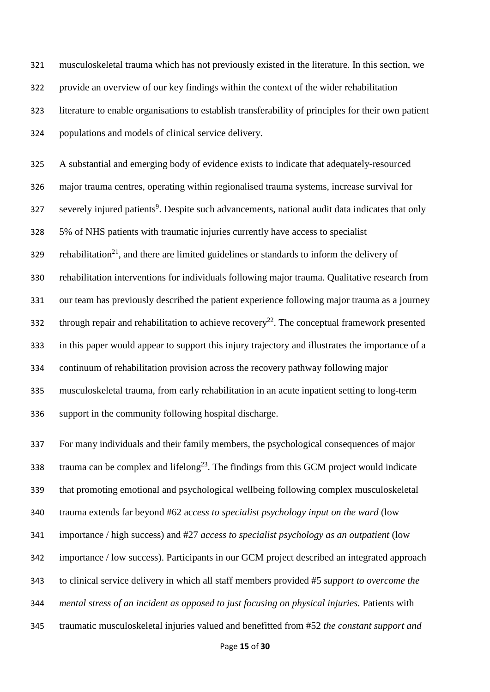musculoskeletal trauma which has not previously existed in the literature. In this section, we provide an overview of our key findings within the context of the wider rehabilitation literature to enable organisations to establish transferability of principles for their own patient populations and models of clinical service delivery.

 A substantial and emerging body of evidence exists to indicate that adequately-resourced major trauma centres, operating within regionalised trauma systems, increase survival for severely injured patients<sup>9</sup>. Despite such advancements, national audit data indicates that only 5% of NHS patients with traumatic injuries currently have access to specialist rehabilitation<sup>21</sup>, and there are limited guidelines or standards to inform the delivery of rehabilitation interventions for individuals following major trauma. Qualitative research from our team has previously described the patient experience following major trauma as a journey 332 through repair and rehabilitation to achieve recovery<sup>22</sup>. The conceptual framework presented in this paper would appear to support this injury trajectory and illustrates the importance of a continuum of rehabilitation provision across the recovery pathway following major musculoskeletal trauma, from early rehabilitation in an acute inpatient setting to long-term support in the community following hospital discharge.

 For many individuals and their family members, the psychological consequences of major trauma can be complex and lifelong<sup>23</sup>. The findings from this GCM project would indicate that promoting emotional and psychological wellbeing following complex musculoskeletal trauma extends far beyond #62 ac*cess to specialist psychology input on the ward* (low importance / high success) and #27 *access to specialist psychology as an outpatient* (low importance / low success). Participants in our GCM project described an integrated approach to clinical service delivery in which all staff members provided #5 *support to overcome the mental stress of an incident as opposed to just focusing on physical injuries.* Patients with traumatic musculoskeletal injuries valued and benefitted from #52 *the constant support and*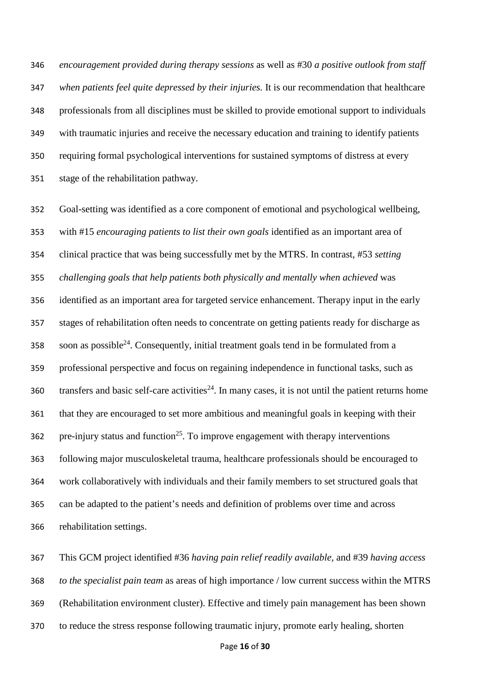*encouragement provided during therapy sessions* as well as #30 *a positive outlook from staff when patients feel quite depressed by their injuries.* It is our recommendation that healthcare professionals from all disciplines must be skilled to provide emotional support to individuals with traumatic injuries and receive the necessary education and training to identify patients requiring formal psychological interventions for sustained symptoms of distress at every stage of the rehabilitation pathway.

 Goal-setting was identified as a core component of emotional and psychological wellbeing, with #15 *encouraging patients to list their own goals* identified as an important area of clinical practice that was being successfully met by the MTRS. In contrast, #53 *setting challenging goals that help patients both physically and mentally when achieved* was identified as an important area for targeted service enhancement. Therapy input in the early stages of rehabilitation often needs to concentrate on getting patients ready for discharge as soon as possible<sup>24</sup>. Consequently, initial treatment goals tend in be formulated from a professional perspective and focus on regaining independence in functional tasks, such as transfers and basic self-care activities<sup>24</sup>. In many cases, it is not until the patient returns home that they are encouraged to set more ambitious and meaningful goals in keeping with their 362 pre-injury status and function<sup>25</sup>. To improve engagement with therapy interventions following major musculoskeletal trauma, healthcare professionals should be encouraged to work collaboratively with individuals and their family members to set structured goals that can be adapted to the patient's needs and definition of problems over time and across rehabilitation settings.

 This GCM project identified #36 *having pain relief readily available,* and #39 *having access to the specialist pain team* as areas of high importance / low current success within the MTRS (Rehabilitation environment cluster). Effective and timely pain management has been shown to reduce the stress response following traumatic injury, promote early healing, shorten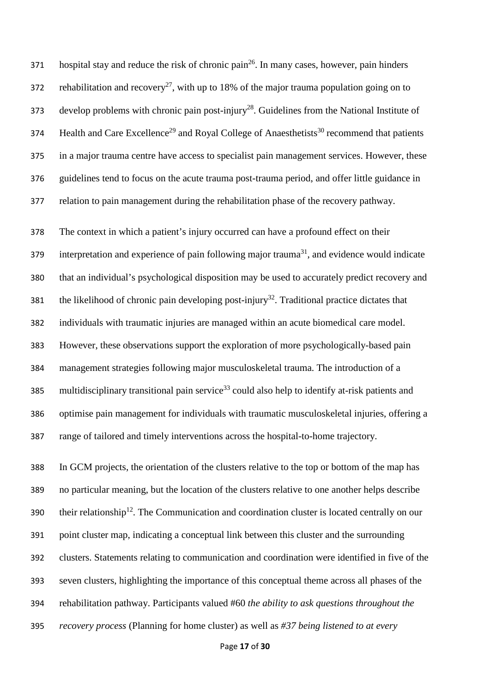hospital stay and reduce the risk of chronic pain<sup>26</sup>. In many cases, however, pain hinders 372 rehabilitation and recovery<sup>27</sup>, with up to 18% of the major trauma population going on to develop problems with chronic pain post-injury<sup>28</sup>. Guidelines from the National Institute of  $B<sub>1</sub>$  Health and Care Excellence<sup>29</sup> and Royal College of Anaesthetists<sup>30</sup> recommend that patients in a major trauma centre have access to specialist pain management services. However, these guidelines tend to focus on the acute trauma post-trauma period, and offer little guidance in relation to pain management during the rehabilitation phase of the recovery pathway.

 The context in which a patient's injury occurred can have a profound effect on their interpretation and experience of pain following major trauma<sup>31</sup>, and evidence would indicate that an individual's psychological disposition may be used to accurately predict recovery and 381 the likelihood of chronic pain developing post-injury<sup>32</sup>. Traditional practice dictates that individuals with traumatic injuries are managed within an acute biomedical care model. However, these observations support the exploration of more psychologically-based pain management strategies following major musculoskeletal trauma. The introduction of a 385 multidisciplinary transitional pain service<sup>33</sup> could also help to identify at-risk patients and optimise pain management for individuals with traumatic musculoskeletal injuries, offering a range of tailored and timely interventions across the hospital-to-home trajectory.

 In GCM projects, the orientation of the clusters relative to the top or bottom of the map has no particular meaning, but the location of the clusters relative to one another helps describe  $t$  390 their relationship<sup>12</sup>. The Communication and coordination cluster is located centrally on our point cluster map, indicating a conceptual link between this cluster and the surrounding clusters. Statements relating to communication and coordination were identified in five of the seven clusters, highlighting the importance of this conceptual theme across all phases of the rehabilitation pathway. Participants valued #60 *the ability to ask questions throughout the recovery process* (Planning for home cluster) as well as *#37 being listened to at every*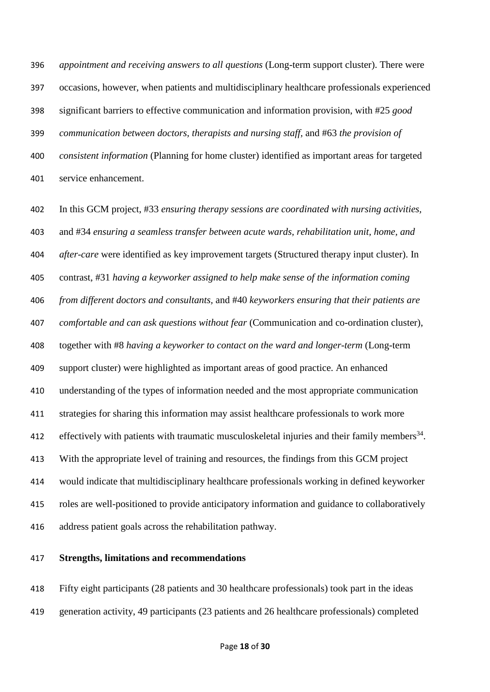*appointment and receiving answers to all questions* (Long-term support cluster). There were occasions, however, when patients and multidisciplinary healthcare professionals experienced significant barriers to effective communication and information provision, with #25 *good communication between doctors, therapists and nursing staff,* and #63 *the provision of consistent information* (Planning for home cluster) identified as important areas for targeted service enhancement.

 In this GCM project, #33 *ensuring therapy sessions are coordinated with nursing activities,* and #34 *ensuring a seamless transfer between acute wards, rehabilitation unit, home, and after-care* were identified as key improvement targets (Structured therapy input cluster). In contrast, #31 *having a keyworker assigned to help make sense of the information coming from different doctors and consultants,* and #40 *keyworkers ensuring that their patients are comfortable and can ask questions without fear* (Communication and co-ordination cluster), together with #8 *having a keyworker to contact on the ward and longer-term* (Long-term support cluster) were highlighted as important areas of good practice. An enhanced understanding of the types of information needed and the most appropriate communication strategies for sharing this information may assist healthcare professionals to work more 412 effectively with patients with traumatic musculoskeletal injuries and their family members<sup>34</sup>. With the appropriate level of training and resources, the findings from this GCM project would indicate that multidisciplinary healthcare professionals working in defined keyworker roles are well-positioned to provide anticipatory information and guidance to collaboratively address patient goals across the rehabilitation pathway.

### **Strengths, limitations and recommendations**

 Fifty eight participants (28 patients and 30 healthcare professionals) took part in the ideas generation activity, 49 participants (23 patients and 26 healthcare professionals) completed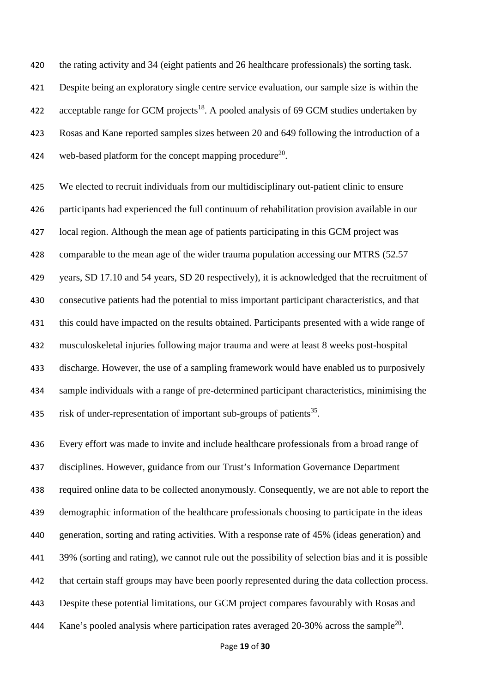the rating activity and 34 (eight patients and 26 healthcare professionals) the sorting task. Despite being an exploratory single centre service evaluation, our sample size is within the 422 acceptable range for GCM projects<sup>18</sup>. A pooled analysis of 69 GCM studies undertaken by Rosas and Kane reported samples sizes between 20 and 649 following the introduction of a 424 web-based platform for the concept mapping procedure<sup>20</sup>.

 We elected to recruit individuals from our multidisciplinary out-patient clinic to ensure participants had experienced the full continuum of rehabilitation provision available in our local region. Although the mean age of patients participating in this GCM project was comparable to the mean age of the wider trauma population accessing our MTRS (52.57 years, SD 17.10 and 54 years, SD 20 respectively), it is acknowledged that the recruitment of consecutive patients had the potential to miss important participant characteristics, and that this could have impacted on the results obtained. Participants presented with a wide range of musculoskeletal injuries following major trauma and were at least 8 weeks post-hospital discharge. However, the use of a sampling framework would have enabled us to purposively sample individuals with a range of pre-determined participant characteristics, minimising the 435 risk of under-representation of important sub-groups of patients<sup>35</sup>.

 Every effort was made to invite and include healthcare professionals from a broad range of disciplines. However, guidance from our Trust's Information Governance Department required online data to be collected anonymously. Consequently, we are not able to report the demographic information of the healthcare professionals choosing to participate in the ideas generation, sorting and rating activities. With a response rate of 45% (ideas generation) and 39% (sorting and rating), we cannot rule out the possibility of selection bias and it is possible that certain staff groups may have been poorly represented during the data collection process. Despite these potential limitations, our GCM project compares favourably with Rosas and 444 Kane's pooled analysis where participation rates averaged 20-30% across the sample<sup>20</sup>.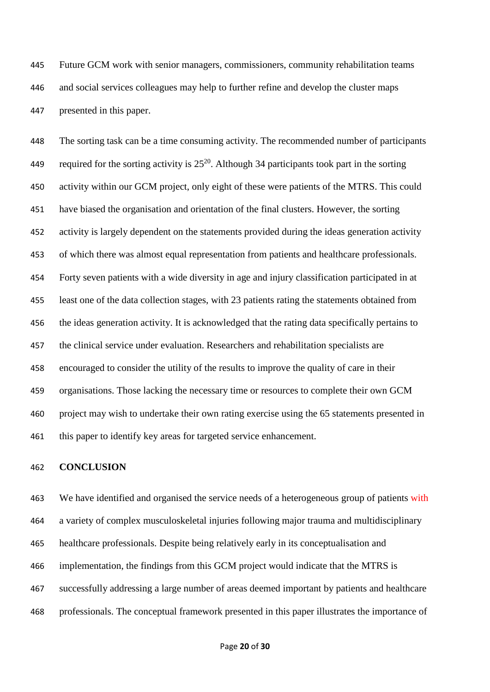Future GCM work with senior managers, commissioners, community rehabilitation teams and social services colleagues may help to further refine and develop the cluster maps presented in this paper.

 The sorting task can be a time consuming activity. The recommended number of participants required for the sorting activity is  $25^{20}$ . Although 34 participants took part in the sorting activity within our GCM project, only eight of these were patients of the MTRS. This could have biased the organisation and orientation of the final clusters. However, the sorting activity is largely dependent on the statements provided during the ideas generation activity of which there was almost equal representation from patients and healthcare professionals. Forty seven patients with a wide diversity in age and injury classification participated in at least one of the data collection stages, with 23 patients rating the statements obtained from the ideas generation activity. It is acknowledged that the rating data specifically pertains to the clinical service under evaluation. Researchers and rehabilitation specialists are encouraged to consider the utility of the results to improve the quality of care in their organisations. Those lacking the necessary time or resources to complete their own GCM project may wish to undertake their own rating exercise using the 65 statements presented in this paper to identify key areas for targeted service enhancement.

### **CONCLUSION**

463 We have identified and organised the service needs of a heterogeneous group of patients with a variety of complex musculoskeletal injuries following major trauma and multidisciplinary healthcare professionals. Despite being relatively early in its conceptualisation and implementation, the findings from this GCM project would indicate that the MTRS is successfully addressing a large number of areas deemed important by patients and healthcare professionals. The conceptual framework presented in this paper illustrates the importance of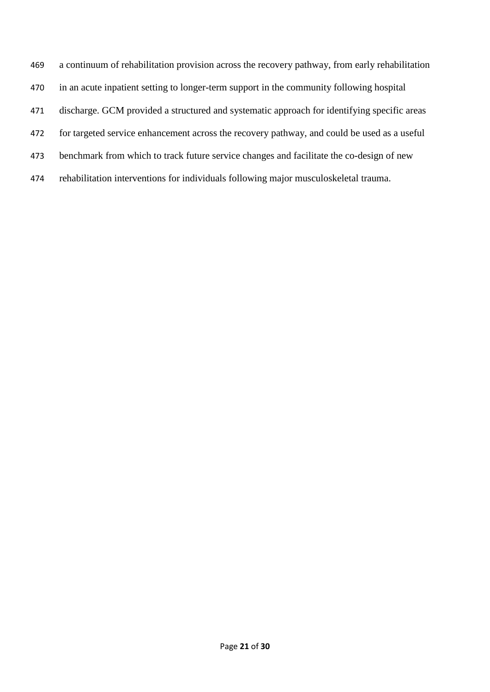a continuum of rehabilitation provision across the recovery pathway, from early rehabilitation in an acute inpatient setting to longer-term support in the community following hospital discharge. GCM provided a structured and systematic approach for identifying specific areas for targeted service enhancement across the recovery pathway, and could be used as a useful benchmark from which to track future service changes and facilitate the co-design of new rehabilitation interventions for individuals following major musculoskeletal trauma.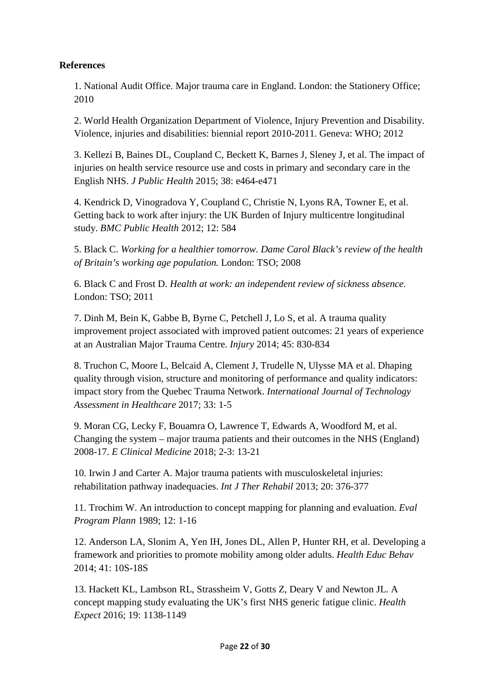# **References**

1. National Audit Office. Major trauma care in England. London: the Stationery Office; 2010

2. World Health Organization Department of Violence, Injury Prevention and Disability. Violence, injuries and disabilities: biennial report 2010-2011. Geneva: WHO; 2012

3. Kellezi B, Baines DL, Coupland C, Beckett K, Barnes J, Sleney J, et al. The impact of injuries on health service resource use and costs in primary and secondary care in the English NHS. *J Public Health* 2015; 38: e464-e471

4. Kendrick D, Vinogradova Y, Coupland C, Christie N, Lyons RA, Towner E, et al. Getting back to work after injury: the UK Burden of Injury multicentre longitudinal study. *BMC Public Health* 2012; 12: 584

5. Black C. *Working for a healthier tomorrow. Dame Carol Black's review of the health of Britain's working age population.* London: TSO; 2008

6. Black C and Frost D. *Health at work: an independent review of sickness absence.* London: TSO; 2011

7. Dinh M, Bein K, Gabbe B, Byrne C, Petchell J, Lo S, et al. A trauma quality improvement project associated with improved patient outcomes: 21 years of experience at an Australian Major Trauma Centre. *Injury* 2014; 45: 830-834

8. Truchon C, Moore L, Belcaid A, Clement J, Trudelle N, Ulysse MA et al. Dhaping quality through vision, structure and monitoring of performance and quality indicators: impact story from the Quebec Trauma Network. *International Journal of Technology Assessment in Healthcare* 2017; 33: 1-5

9. Moran CG, Lecky F, Bouamra O, Lawrence T, Edwards A, Woodford M, et al. Changing the system – major trauma patients and their outcomes in the NHS (England) 2008-17. *E Clinical Medicine* 2018; 2-3: 13-21

10. Irwin J and Carter A. Major trauma patients with musculoskeletal injuries: rehabilitation pathway inadequacies. *Int J Ther Rehabil* 2013; 20: 376-377

11. Trochim W. An introduction to concept mapping for planning and evaluation. *Eval Program Plann* 1989; 12: 1-16

12. Anderson LA, Slonim A, Yen IH, Jones DL, Allen P, Hunter RH, et al. Developing a framework and priorities to promote mobility among older adults. *Health Educ Behav*  2014; 41: 10S-18S

13. Hackett KL, Lambson RL, Strassheim V, Gotts Z, Deary V and Newton JL. A concept mapping study evaluating the UK's first NHS generic fatigue clinic. *Health Expect* 2016; 19: 1138-1149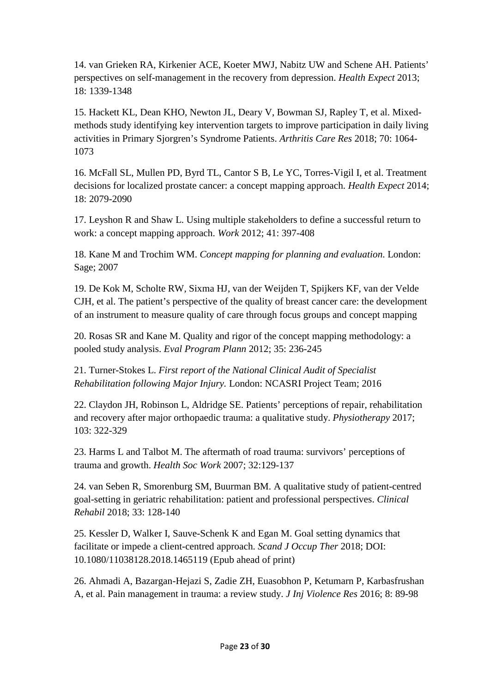14. van Grieken RA, Kirkenier ACE, Koeter MWJ, Nabitz UW and Schene AH. Patients' perspectives on self-management in the recovery from depression. *Health Expect* 2013; 18: 1339-1348

15. Hackett KL, Dean KHO, Newton JL, Deary V, Bowman SJ, Rapley T, et al. Mixedmethods study identifying key intervention targets to improve participation in daily living activities in Primary Sjorgren's Syndrome Patients. *Arthritis Care Res* 2018; 70: 1064- 1073

16. McFall SL, Mullen PD, Byrd TL, Cantor S B, Le YC, Torres-Vigil I, et al. Treatment decisions for localized prostate cancer: a concept mapping approach. *Health Expect* 2014; 18: 2079-2090

17. Leyshon R and Shaw L. Using multiple stakeholders to define a successful return to work: a concept mapping approach. *Work* 2012; 41: 397-408

18. Kane M and Trochim WM. *Concept mapping for planning and evaluation*. London: Sage; 2007

19. De Kok M, Scholte RW, Sixma HJ, van der Weijden T, Spijkers KF, van der Velde CJH, et al. The patient's perspective of the quality of breast cancer care: the development of an instrument to measure quality of care through focus groups and concept mapping

20. Rosas SR and Kane M. Quality and rigor of the concept mapping methodology: a pooled study analysis. *Eval Program Plann* 2012; 35: 236-245

21. Turner-Stokes L. *First report of the National Clinical Audit of Specialist Rehabilitation following Major Injury.* London: NCASRI Project Team; 2016

22. Claydon JH, Robinson L, Aldridge SE. Patients' perceptions of repair, rehabilitation and recovery after major orthopaedic trauma: a qualitative study. *Physiotherapy* 2017; 103: 322-329

23. Harms L and Talbot M. The aftermath of road trauma: survivors' perceptions of trauma and growth. *Health Soc Work* 2007; 32:129-137

24. van Seben R, Smorenburg SM, Buurman BM. A qualitative study of patient-centred goal-setting in geriatric rehabilitation: patient and professional perspectives. *Clinical Rehabil* 2018; 33: 128-140

25. Kessler D, Walker I, Sauve-Schenk K and Egan M. Goal setting dynamics that facilitate or impede a client-centred approach. *Scand J Occup Ther* 2018; DOI: 10.1080/11038128.2018.1465119 (Epub ahead of print)

26. Ahmadi A, Bazargan-Hejazi S, Zadie ZH, Euasobhon P, Ketumarn P, Karbasfrushan A, et al. Pain management in trauma: a review study. *J Inj Violence Res* 2016; 8: 89-98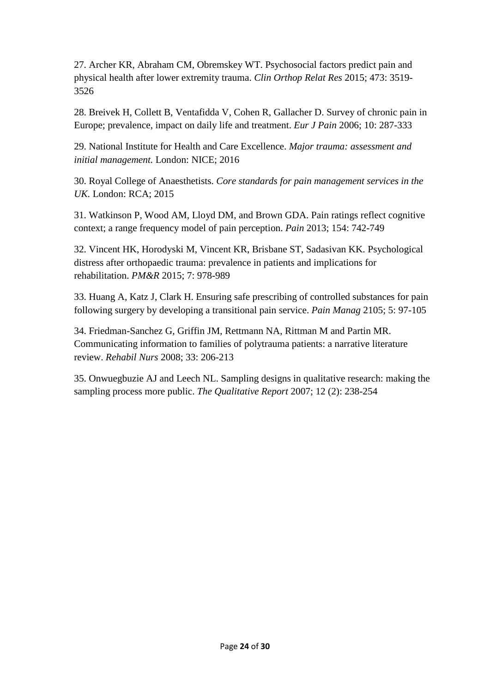27. Archer KR, Abraham CM, Obremskey WT. Psychosocial factors predict pain and physical health after lower extremity trauma. *Clin Orthop Relat Res* 2015; 473: 3519- 3526

28. Breivek H, Collett B, Ventafidda V, Cohen R, Gallacher D. Survey of chronic pain in Europe; prevalence, impact on daily life and treatment. *Eur J Pain* 2006; 10: 287-333

29. National Institute for Health and Care Excellence. *Major trauma: assessment and initial management.* London: NICE; 2016

30. Royal College of Anaesthetists. *Core standards for pain management services in the UK.* London: RCA; 2015

31. Watkinson P, Wood AM, Lloyd DM, and Brown GDA. Pain ratings reflect cognitive context; a range frequency model of pain perception. *Pain* 2013; 154: 742-749

32. Vincent HK, Horodyski M, Vincent KR, Brisbane ST, Sadasivan KK. Psychological distress after orthopaedic trauma: prevalence in patients and implications for rehabilitation. *PM&R* 2015; 7: 978-989

33. Huang A, Katz J, Clark H. Ensuring safe prescribing of controlled substances for pain following surgery by developing a transitional pain service. *Pain Manag* 2105; 5: 97-105

34. Friedman-Sanchez G, Griffin JM, Rettmann NA, Rittman M and Partin MR. Communicating information to families of polytrauma patients: a narrative literature review. *Rehabil Nurs* 2008; 33: 206-213

35. Onwuegbuzie AJ and Leech NL. Sampling designs in qualitative research: making the sampling process more public. *The Qualitative Report* 2007; 12 (2): 238-254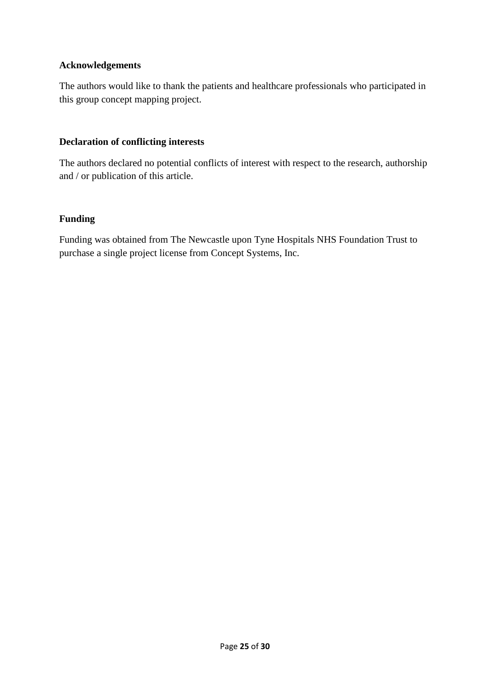# **Acknowledgements**

The authors would like to thank the patients and healthcare professionals who participated in this group concept mapping project.

# **Declaration of conflicting interests**

The authors declared no potential conflicts of interest with respect to the research, authorship and / or publication of this article.

# **Funding**

Funding was obtained from The Newcastle upon Tyne Hospitals NHS Foundation Trust to purchase a single project license from Concept Systems, Inc.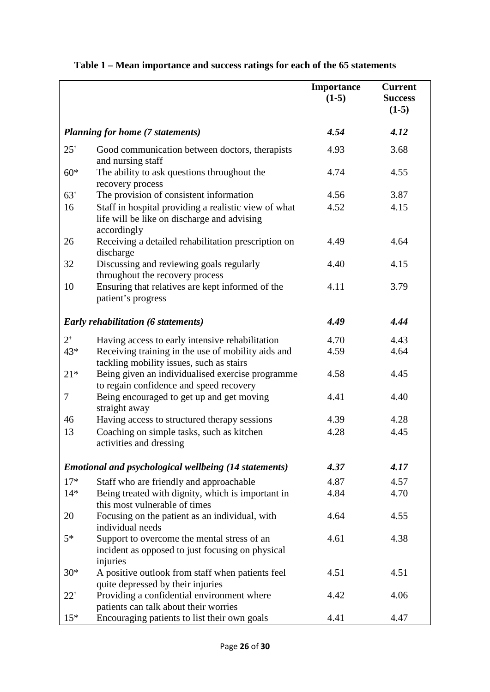|                                         |                                                                                                                    | Importance<br>$(1-5)$ | <b>Current</b><br><b>Success</b><br>$(1-5)$ |
|-----------------------------------------|--------------------------------------------------------------------------------------------------------------------|-----------------------|---------------------------------------------|
| <b>Planning for home (7 statements)</b> |                                                                                                                    | 4.54                  | 4.12                                        |
| $25^*$                                  | Good communication between doctors, therapists<br>and nursing staff                                                | 4.93                  | 3.68                                        |
| $60*$                                   | The ability to ask questions throughout the<br>recovery process                                                    | 4.74                  | 4.55                                        |
| $63^{+}$                                | The provision of consistent information                                                                            | 4.56                  | 3.87                                        |
| 16                                      | Staff in hospital providing a realistic view of what<br>life will be like on discharge and advising<br>accordingly | 4.52                  | 4.15                                        |
| 26                                      | Receiving a detailed rehabilitation prescription on<br>discharge                                                   | 4.49                  | 4.64                                        |
| 32                                      | Discussing and reviewing goals regularly<br>throughout the recovery process                                        | 4.40                  | 4.15                                        |
| 10                                      | Ensuring that relatives are kept informed of the<br>patient's progress                                             | 4.11                  | 3.79                                        |
|                                         | <b>Early rehabilitation (6 statements)</b>                                                                         | 4.49                  | 4.44                                        |
| $2^+$                                   | Having access to early intensive rehabilitation                                                                    | 4.70                  | 4.43                                        |
| 43*                                     | Receiving training in the use of mobility aids and<br>tackling mobility issues, such as stairs                     | 4.59                  | 4.64                                        |
| $21*$                                   | Being given an individualised exercise programme<br>to regain confidence and speed recovery                        | 4.58                  | 4.45                                        |
| 7                                       | Being encouraged to get up and get moving<br>straight away                                                         | 4.41                  | 4.40                                        |
| 46                                      | Having access to structured therapy sessions                                                                       | 4.39                  | 4.28                                        |
| 13                                      | Coaching on simple tasks, such as kitchen<br>activities and dressing                                               | 4.28                  | 4.45                                        |
|                                         | <b>Emotional and psychological wellbeing (14 statements)</b>                                                       | 4.37                  | 4.17                                        |
| $17*$                                   | Staff who are friendly and approachable                                                                            | 4.87                  | 4.57                                        |
| $14*$                                   | Being treated with dignity, which is important in<br>this most vulnerable of times                                 | 4.84                  | 4.70                                        |
| 20                                      | Focusing on the patient as an individual, with<br>individual needs                                                 | 4.64                  | 4.55                                        |
| $5*$                                    | Support to overcome the mental stress of an<br>incident as opposed to just focusing on physical<br>injuries        | 4.61                  | 4.38                                        |
| $30*$                                   | A positive outlook from staff when patients feel<br>quite depressed by their injuries                              | 4.51                  | 4.51                                        |
| $22^+$                                  | Providing a confidential environment where<br>patients can talk about their worries                                | 4.42                  | 4.06                                        |
| $15*$                                   | Encouraging patients to list their own goals                                                                       | 4.41                  | 4.47                                        |

# **Table 1 – Mean importance and success ratings for each of the 65 statements**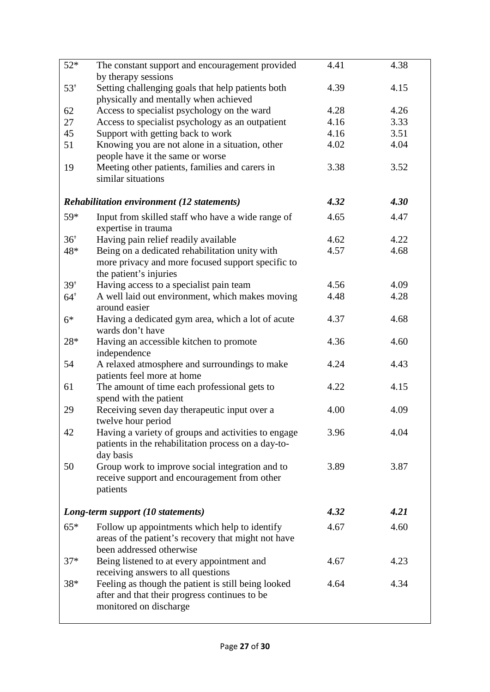| $52*$           | The constant support and encouragement provided                                            | 4.41 | 4.38 |
|-----------------|--------------------------------------------------------------------------------------------|------|------|
|                 | by therapy sessions                                                                        | 4.39 | 4.15 |
| $53^{+}$        | Setting challenging goals that help patients both<br>physically and mentally when achieved |      |      |
| 62              | Access to specialist psychology on the ward                                                | 4.28 | 4.26 |
| 27              | Access to specialist psychology as an outpatient                                           | 4.16 | 3.33 |
| 45              | Support with getting back to work                                                          | 4.16 | 3.51 |
| 51              | Knowing you are not alone in a situation, other                                            | 4.02 | 4.04 |
|                 | people have it the same or worse                                                           |      |      |
| 19              | Meeting other patients, families and carers in<br>similar situations                       | 3.38 | 3.52 |
|                 | <b>Rehabilitation environment (12 statements)</b>                                          | 4.32 | 4.30 |
| 59*             | Input from skilled staff who have a wide range of                                          | 4.65 | 4.47 |
|                 | expertise in trauma                                                                        |      |      |
| 36 <sup>†</sup> | Having pain relief readily available                                                       | 4.62 | 4.22 |
| 48*             | Being on a dedicated rehabilitation unity with                                             | 4.57 | 4.68 |
|                 | more privacy and more focused support specific to                                          |      |      |
|                 | the patient's injuries                                                                     |      |      |
| $39^{+}$        | Having access to a specialist pain team                                                    | 4.56 | 4.09 |
| $64^{+}$        | A well laid out environment, which makes moving                                            | 4.48 | 4.28 |
|                 | around easier                                                                              |      |      |
| $6*$            | Having a dedicated gym area, which a lot of acute<br>wards don't have                      | 4.37 | 4.68 |
| 28*             | Having an accessible kitchen to promote                                                    | 4.36 | 4.60 |
|                 | independence                                                                               |      |      |
| 54              | A relaxed atmosphere and surroundings to make                                              | 4.24 | 4.43 |
|                 | patients feel more at home                                                                 |      |      |
| 61              | The amount of time each professional gets to                                               | 4.22 | 4.15 |
|                 | spend with the patient                                                                     |      |      |
| 29              | Receiving seven day therapeutic input over a                                               | 4.00 | 4.09 |
|                 | twelve hour period                                                                         |      |      |
| 42              | Having a variety of groups and activities to engage                                        | 3.96 | 4.04 |
|                 | patients in the rehabilitation process on a day-to-<br>day basis                           |      |      |
| 50              | Group work to improve social integration and to                                            | 3.89 | 3.87 |
|                 | receive support and encouragement from other                                               |      |      |
|                 | patients                                                                                   |      |      |
|                 |                                                                                            |      |      |
|                 | Long-term support (10 statements)                                                          | 4.32 | 4.21 |
| $65*$           | Follow up appointments which help to identify                                              | 4.67 | 4.60 |
|                 | areas of the patient's recovery that might not have                                        |      |      |
|                 | been addressed otherwise                                                                   |      |      |
| $37*$           | Being listened to at every appointment and                                                 | 4.67 | 4.23 |
|                 | receiving answers to all questions                                                         |      |      |
| 38*             | Feeling as though the patient is still being looked                                        | 4.64 | 4.34 |
|                 | after and that their progress continues to be                                              |      |      |
|                 | monitored on discharge                                                                     |      |      |
|                 |                                                                                            |      |      |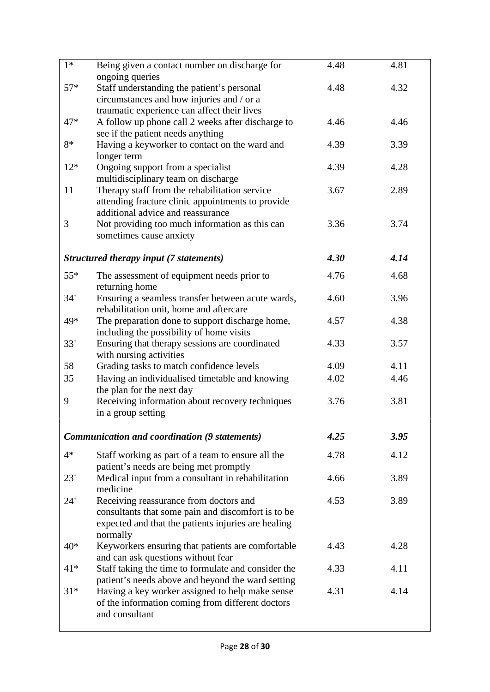| $1*$     | Being given a contact number on discharge for<br>ongoing queries                       | 4.48 | 4.81 |
|----------|----------------------------------------------------------------------------------------|------|------|
| $57*$    | Staff understanding the patient's personal                                             | 4.48 | 4.32 |
|          | circumstances and how injuries and / or a                                              |      |      |
|          | traumatic experience can affect their lives                                            |      |      |
| $47*$    | A follow up phone call 2 weeks after discharge to<br>see if the patient needs anything | 4.46 | 4.46 |
| 8*       | Having a keyworker to contact on the ward and                                          | 4.39 | 3.39 |
|          | longer term                                                                            |      |      |
| $12*$    | Ongoing support from a specialist                                                      | 4.39 | 4.28 |
|          | multidisciplinary team on discharge                                                    |      |      |
| 11       | Therapy staff from the rehabilitation service                                          | 3.67 | 2.89 |
|          | attending fracture clinic appointments to provide                                      |      |      |
|          | additional advice and reassurance                                                      |      |      |
| 3        | Not providing too much information as this can                                         | 3.36 | 3.74 |
|          | sometimes cause anxiety                                                                |      |      |
|          | Structured therapy input (7 statements)                                                | 4.30 | 4.14 |
| $55*$    |                                                                                        | 4.76 | 4.68 |
|          | The assessment of equipment needs prior to<br>returning home                           |      |      |
| $34^{+}$ | Ensuring a seamless transfer between acute wards,                                      | 4.60 | 3.96 |
|          | rehabilitation unit, home and aftercare                                                |      |      |
| 49*      | The preparation done to support discharge home,                                        | 4.57 | 4.38 |
|          | including the possibility of home visits                                               |      |      |
| $33^{+}$ | Ensuring that therapy sessions are coordinated                                         | 4.33 | 3.57 |
|          | with nursing activities                                                                |      |      |
| 58       | Grading tasks to match confidence levels                                               | 4.09 | 4.11 |
| 35       | Having an individualised timetable and knowing<br>the plan for the next day            | 4.02 | 4.46 |
| 9        | Receiving information about recovery techniques                                        | 3.76 | 3.81 |
|          | in a group setting                                                                     |      |      |
|          | Communication and coordination (9 statements)                                          | 4.25 | 3.95 |
|          |                                                                                        |      |      |
| $4*$     | Staff working as part of a team to ensure all the                                      | 4.78 | 4.12 |
|          | patient's needs are being met promptly                                                 |      |      |
| $23^{+}$ | Medical input from a consultant in rehabilitation<br>medicine                          | 4.66 | 3.89 |
| $24^+$   | Receiving reassurance from doctors and                                                 | 4.53 | 3.89 |
|          | consultants that some pain and discomfort is to be                                     |      |      |
|          | expected and that the patients injuries are healing                                    |      |      |
|          | normally                                                                               |      |      |
| $40*$    | Keyworkers ensuring that patients are comfortable                                      | 4.43 | 4.28 |
|          | and can ask questions without fear                                                     |      |      |
| $41*$    | Staff taking the time to formulate and consider the                                    | 4.33 | 4.11 |
|          | patient's needs above and beyond the ward setting                                      |      |      |
| $31*$    | Having a key worker assigned to help make sense                                        | 4.31 | 4.14 |
|          | of the information coming from different doctors                                       |      |      |
|          | and consultant                                                                         |      |      |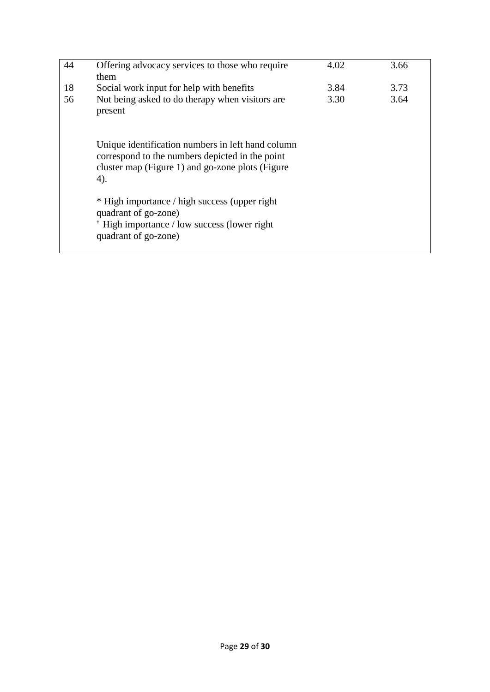| 44 | Offering advocacy services to those who require<br>them                                                                                                         | 4.02 | 3.66 |
|----|-----------------------------------------------------------------------------------------------------------------------------------------------------------------|------|------|
| 18 | Social work input for help with benefits                                                                                                                        | 3.84 | 3.73 |
| 56 | Not being asked to do therapy when visitors are<br>present                                                                                                      | 3.30 | 3.64 |
|    | Unique identification numbers in left hand column<br>correspond to the numbers depicted in the point<br>cluster map (Figure 1) and go-zone plots (Figure<br>4). |      |      |
|    | * High importance / high success (upper right)<br>quadrant of go-zone)                                                                                          |      |      |
|    | <sup>†</sup> High importance / low success (lower right<br>quadrant of go-zone)                                                                                 |      |      |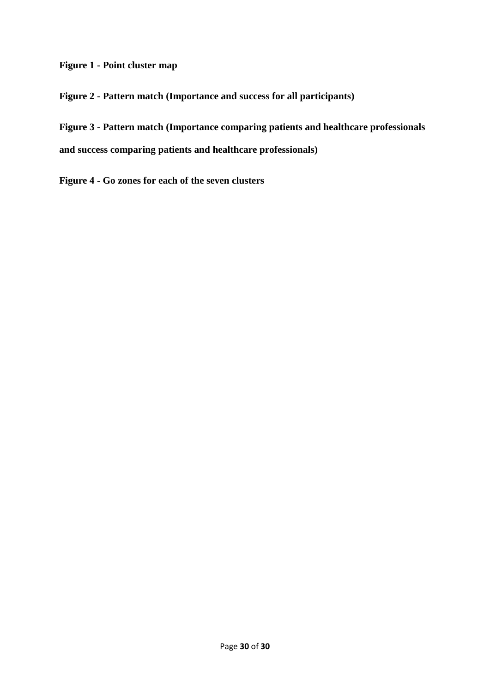**Figure 1 - Point cluster map** 

**Figure 2 - Pattern match (Importance and success for all participants)** 

**Figure 3 - Pattern match (Importance comparing patients and healthcare professionals and success comparing patients and healthcare professionals)**

**Figure 4 - Go zones for each of the seven clusters**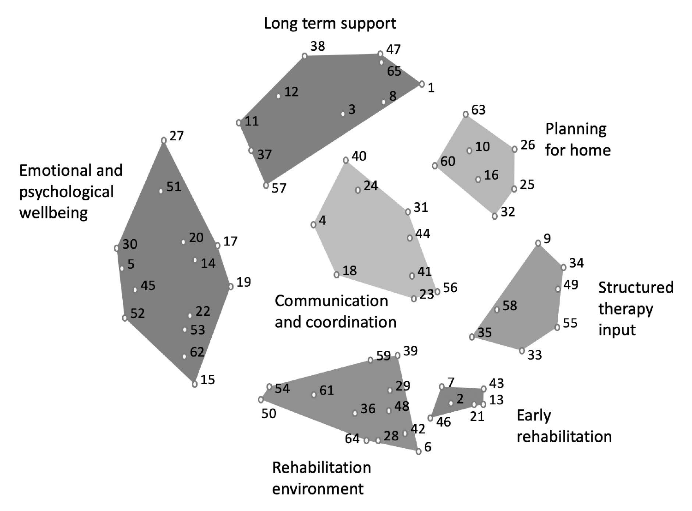

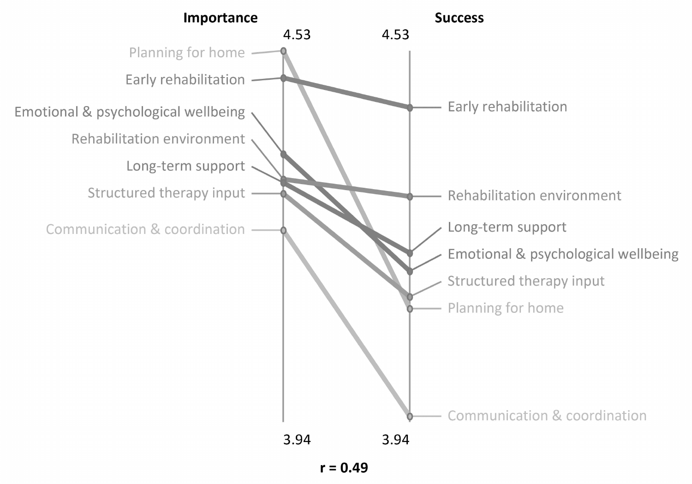- Planning for home -
- 
- Emotional & psychological wellbeing,
	- Rehabilitation environment
		-
		- Structured therapy input -
	- Communication & coordination -

# Importance

4.53

# Early rehabilitation

# Long-term support

# 3.94



# Rehabilitation environment

# Emotional & psychological wellbeing

# Structured therapy input

# Communication & coordination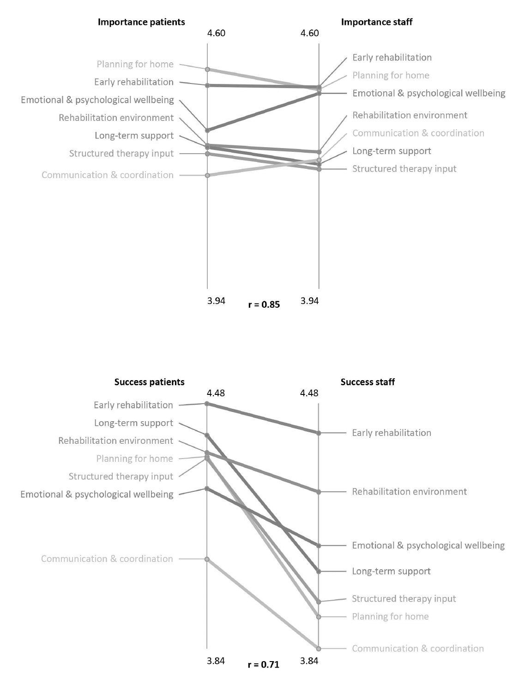